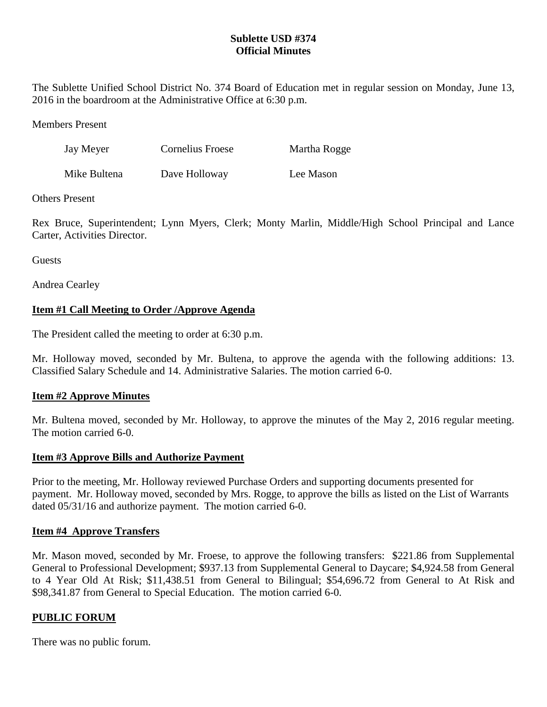## **Sublette USD #374 Official Minutes**

The Sublette Unified School District No. 374 Board of Education met in regular session on Monday, June 13, 2016 in the boardroom at the Administrative Office at 6:30 p.m.

Members Present

| Jay Meyer    | Cornelius Froese | Martha Rogge |
|--------------|------------------|--------------|
| Mike Bultena | Dave Holloway    | Lee Mason    |

Others Present

Rex Bruce, Superintendent; Lynn Myers, Clerk; Monty Marlin, Middle/High School Principal and Lance Carter, Activities Director.

**Guests** 

Andrea Cearley

# **Item #1 Call Meeting to Order /Approve Agenda**

The President called the meeting to order at 6:30 p.m.

Mr. Holloway moved, seconded by Mr. Bultena, to approve the agenda with the following additions: 13. Classified Salary Schedule and 14. Administrative Salaries. The motion carried 6-0.

## **Item #2 Approve Minutes**

Mr. Bultena moved, seconded by Mr. Holloway, to approve the minutes of the May 2, 2016 regular meeting. The motion carried 6-0.

## **Item #3 Approve Bills and Authorize Payment**

Prior to the meeting, Mr. Holloway reviewed Purchase Orders and supporting documents presented for payment. Mr. Holloway moved, seconded by Mrs. Rogge, to approve the bills as listed on the List of Warrants dated  $05/31/16$  and authorize payment. The motion carried 6-0.

## **Item #4 Approve Transfers**

Mr. Mason moved, seconded by Mr. Froese, to approve the following transfers: \$221.86 from Supplemental General to Professional Development; \$937.13 from Supplemental General to Daycare; \$4,924.58 from General to 4 Year Old At Risk; \$11,438.51 from General to Bilingual; \$54,696.72 from General to At Risk and \$98,341.87 from General to Special Education. The motion carried 6-0.

## **PUBLIC FORUM**

There was no public forum.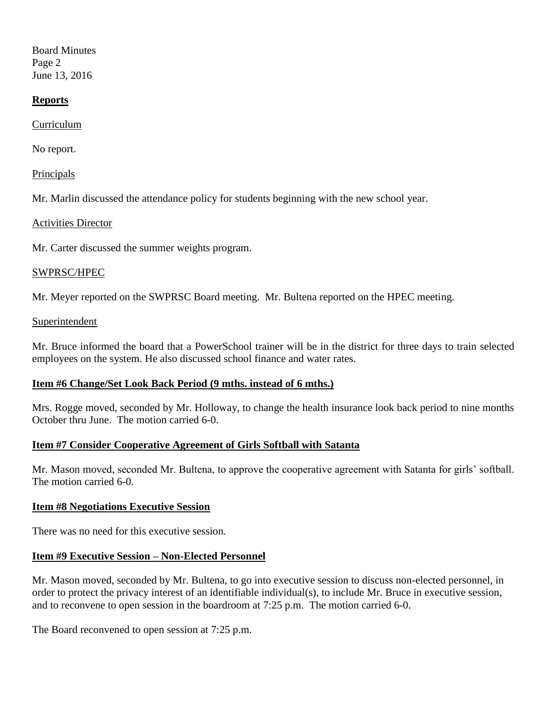Board Minutes Page 2 June 13, 2016

### **Reports**

Curriculum

No report.

Principals

Mr. Marlin discussed the attendance policy for students beginning with the new school year.

Activities Director

Mr. Carter discussed the summer weights program.

#### SWPRSC/HPEC

Mr. Meyer reported on the SWPRSC Board meeting. Mr. Bultena reported on the HPEC meeting.

#### Superintendent

Mr. Bruce informed the board that a PowerSchool trainer will be in the district for three days to train selected employees on the system. He also discussed school finance and water rates.

### **Item #6 Change/Set Look Back Period (9 mths. instead of 6 mths.)**

Mrs. Rogge moved, seconded by Mr. Holloway, to change the health insurance look back period to nine months October thru June. The motion carried 6-0.

### **Item #7 Consider Cooperative Agreement of Girls Softball with Satanta**

Mr. Mason moved, seconded Mr. Bultena, to approve the cooperative agreement with Satanta for girls' softball. The motion carried 6-0.

#### **Item #8 Negotiations Executive Session**

There was no need for this executive session.

### **Item #9 Executive Session – Non-Elected Personnel**

Mr. Mason moved, seconded by Mr. Bultena, to go into executive session to discuss non-elected personnel, in order to protect the privacy interest of an identifiable individual(s), to include Mr. Bruce in executive session, and to reconvene to open session in the boardroom at 7:25 p.m. The motion carried 6-0.

The Board reconvened to open session at 7:25 p.m.